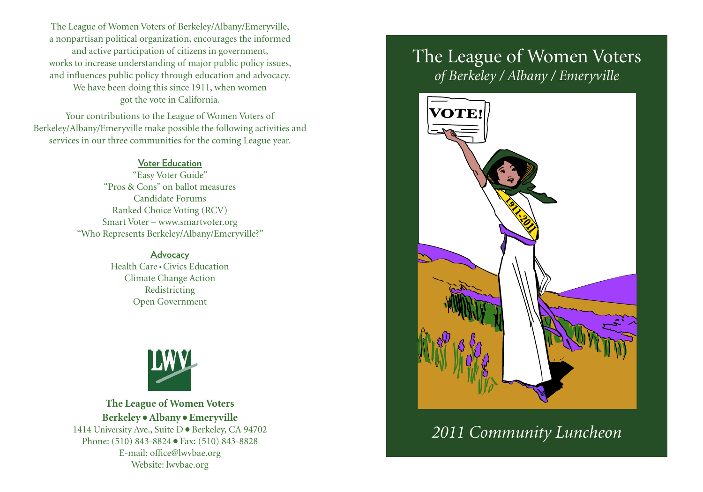The League of Women Voters of Berkeley/Albany/Emeryville, a nonpartisan political organization, encourages the informed and active participation of citizens in government, works to increase understanding of major public policy issues, and influences public policy through education and advocacy. We have been doing this since 1911, when women got the vote in California.

Your contributions to the League of Women Voters of Berkeley/Albany/Emeryville make possible the following activities and services in our three communities for the coming League year.

#### **Voter Education**

"Easy Voter Guide" "Pros & Cons" on ballot measures Candidate Forums Ranked Choice Voting (RCV) Smart Voter – www.smartvoter.org "Who Represents Berkeley/Albany/Emeryville?"

> **Advocacy** Health Care •Civics Education Climate Change Action Redistricting Open Government



**The League of Women Voters Berkeley**•**Albany**•**Emeryville** 1414 University Ave., Suite D ● Berkeley, CA 94702 Phone: (510) 843-8824 ● Fax: (510) 843-8828 E-mail: office@lwvbae.org Website: lwvbae.org

# The League of Women Voters *of Berkeley / Albany / Emeryville*



*2011 Community Luncheon*